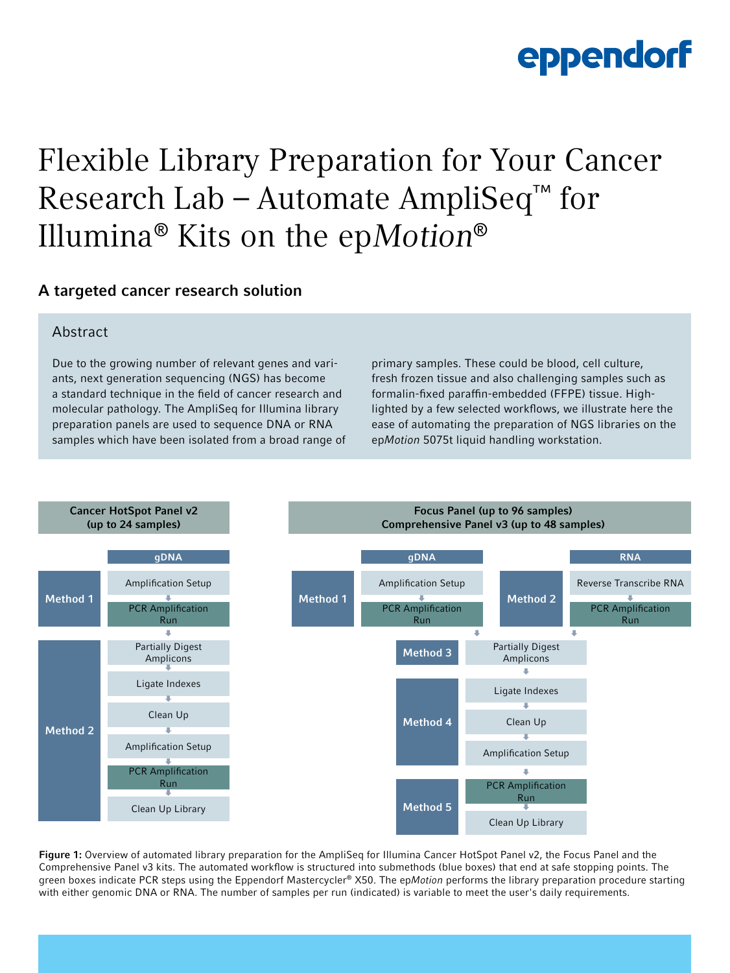### Flexible Library Preparation for Your Cancer Research Lab – Automate AmpliSeq™ for Illumina® Kits on the epMotion®

### A targeted cancer research solution

#### **Abstract**

Due to the growing number of relevant genes and variants, next generation sequencing (NGS) has become a standard technique in the field of cancer research and molecular pathology. The AmpliSeq for Illumina library preparation panels are used to sequence DNA or RNA samples which have been isolated from a broad range of

primary samples. These could be blood, cell culture, fresh frozen tissue and also challenging samples such as formalin-fixed paraffin-embedded (FFPE) tissue. Highlighted by a few selected workflows, we illustrate here the ease of automating the preparation of NGS libraries on the ep*Motion* 5075t liquid handling workstation.



Figure 1: Overview of automated library preparation for the AmpliSeq for Illumina Cancer HotSpot Panel v2, the Focus Panel and the Comprehensive Panel v3 kits. The automated workflow is structured into submethods (blue boxes) that end at safe stopping points. The green boxes indicate PCR steps using the Eppendorf Mastercycler® X50. The ep*Motion* performs the library preparation procedure starting with either genomic DNA or RNA. The number of samples per run (indicated) is variable to meet the user's daily requirements.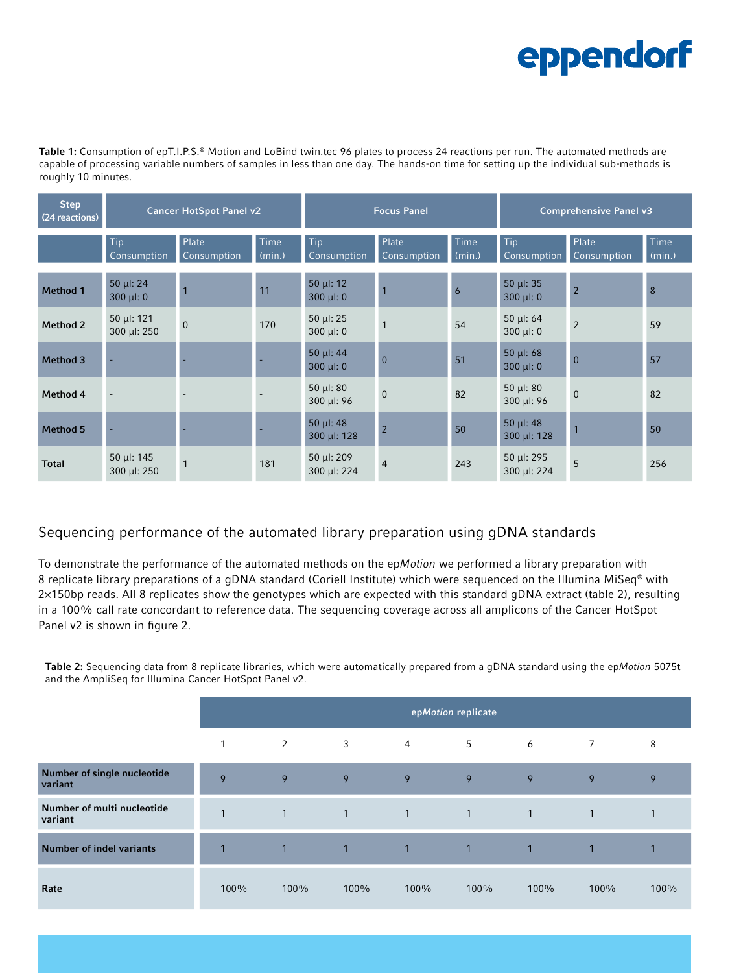Table 1: Consumption of epT.I.P.S.® Motion and LoBind twin.tec 96 plates to process 24 reactions per run. The automated methods are capable of processing variable numbers of samples in less than one day. The hands-on time for setting up the individual sub-methods is roughly 10 minutes.

| <b>Step</b><br>(24 reactions) | <b>Cancer HotSpot Panel v2</b>   |                      |                | <b>Focus Panel</b>               |                      |                | <b>Comprehensive Panel v3</b>  |                      |                |
|-------------------------------|----------------------------------|----------------------|----------------|----------------------------------|----------------------|----------------|--------------------------------|----------------------|----------------|
|                               | Tip<br>Consumption               | Plate<br>Consumption | Time<br>(min.) | Tip<br>Consumption               | Plate<br>Consumption | Time<br>(min.) | Tip<br>Consumption             | Plate<br>Consumption | Time<br>(min.) |
| <b>Method 1</b>               | $50 \mu$ : 24<br>$300 \mu l$ : 0 | $\overline{1}$       | 11             | $50 \mu$ : 12<br>$300 \mu$ : 0   |                      | 6              | $50 \mu$ : 35<br>$300 \mu$ : 0 | $\overline{2}$       | 8              |
| <b>Method 2</b>               | $50 \mu$ : 121<br>300 µl: 250    | $\overline{0}$       | 170            | 50 $\mu$ I: 25<br>$300 \mu l: 0$ | $\overline{1}$       | 54             | 50 µ $: 64$<br>$300 \mu l$ : 0 | $\overline{2}$       | 59             |
| <b>Method 3</b>               |                                  |                      |                | 50 µl: 44<br>$300 \mu l$ : 0     | $\overline{0}$       | 51             | $50 \mu$ : 68<br>$300 \mu$ : 0 | $\overline{0}$       | 57             |
| Method 4                      |                                  |                      |                | $50 \mu$ : 80<br>$300 \mu$ I: 96 | $\mathbf{0}$         | 82             | $50 \mu$ : 80<br>300 µl: 96    | $\Omega$             | 82             |
| <b>Method 5</b>               |                                  |                      |                | 50 µl: 48<br>300 µl: 128         | $\overline{2}$       | 50             | $50 \mu$ : 48<br>300 µl: 128   | $\overline{1}$       | 50             |
| <b>Total</b>                  | 50 µl: $145$<br>300 µl: 250      |                      | 181            | 50 µl: 209<br>300 µl: 224        | $\overline{4}$       | 243            | 50 µl: 295<br>300 µl: 224      | 5                    | 256            |

### Sequencing performance of the automated library preparation using gDNA standards

To demonstrate the performance of the automated methods on the ep*Motion* we performed a library preparation with 8 replicate library preparations of a gDNA standard (Coriell Institute) which were sequenced on the Illumina MiSeq® with 2×150bp reads. All 8 replicates show the genotypes which are expected with this standard gDNA extract (table 2), resulting in a 100% call rate concordant to reference data. The sequencing coverage across all amplicons of the Cancer HotSpot Panel v2 is shown in figure 2.

Table 2: Sequencing data from 8 replicate libraries, which were automatically prepared from a gDNA standard using the ep*Motion* 5075t and the AmpliSeq for Illumina Cancer HotSpot Panel v2.

|                                        | epMotion replicate |              |                |                |                |                |                |              |
|----------------------------------------|--------------------|--------------|----------------|----------------|----------------|----------------|----------------|--------------|
|                                        | 1                  | 2            | 3              | 4              | 5              | 6              | $\overline{7}$ | 8            |
| Number of single nucleotide<br>variant | 9                  | 9            | 9              | 9              | 9              | 9              | 9              | 9            |
| Number of multi nucleotide<br>variant  | $\mathbf{1}$       | $\mathbf{1}$ | $\overline{1}$ | $\overline{1}$ | $\overline{1}$ | $\overline{1}$ | $\mathbf{1}$   | $\mathbf{1}$ |
| <b>Number of indel variants</b>        |                    | $\mathbf{1}$ | $\overline{1}$ | $\mathbf{1}$   | $\overline{1}$ | $\mathbf{1}$   |                | 1            |
| Rate                                   | 100%               | 100%         | 100%           | 100%           | 100%           | 100%           | 100%           | 100%         |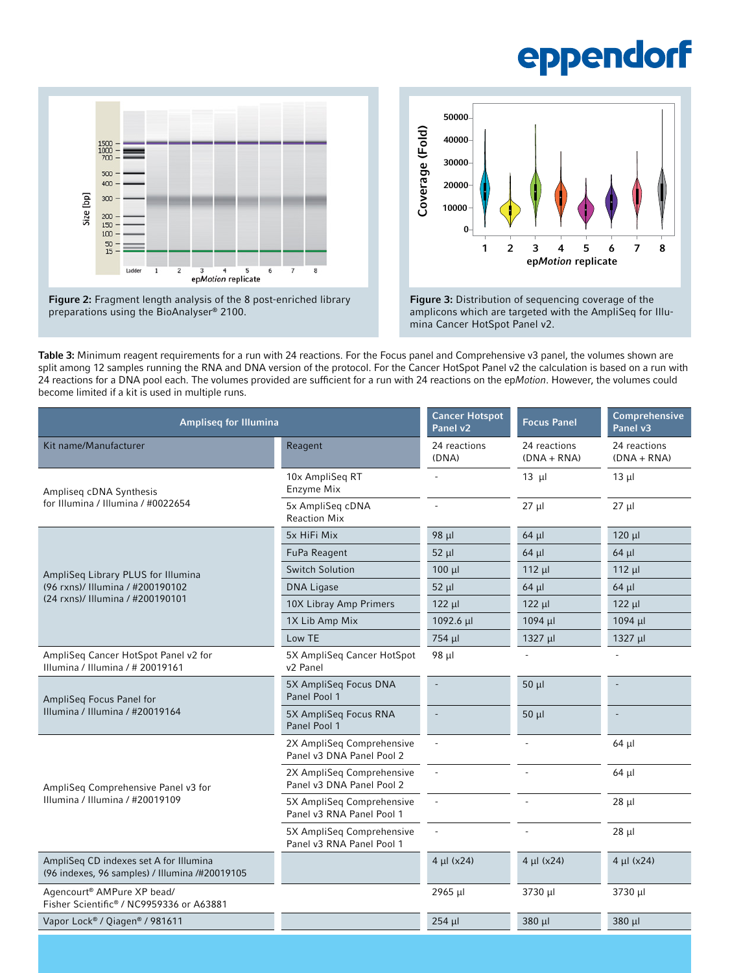



amplicons which are targeted with the AmpliSeq for Illumina Cancer HotSpot Panel v2.

Table 3: Minimum reagent requirements for a run with 24 reactions. For the Focus panel and Comprehensive v3 panel, the volumes shown are split among 12 samples running the RNA and DNA version of the protocol. For the Cancer HotSpot Panel v2 the calculation is based on a run with 24 reactions for a DNA pool each. The volumes provided are sufficient for a run with 24 reactions on the ep*Motion*. However, the volumes could become limited if a kit is used in multiple runs.

| <b>Ampliseq for Illumina</b>                                                             | <b>Cancer Hotspot</b><br>Panel v2                      | <b>Focus Panel</b>       | Comprehensive<br>Panel v3     |                               |
|------------------------------------------------------------------------------------------|--------------------------------------------------------|--------------------------|-------------------------------|-------------------------------|
| Kit name/Manufacturer                                                                    | Reagent                                                | 24 reactions<br>(DNA)    | 24 reactions<br>$(DNA + RNA)$ | 24 reactions<br>$(DNA + RNA)$ |
| Ampliseq cDNA Synthesis                                                                  | 10x AmpliSeq RT<br>Enzyme Mix                          |                          | $13 \mu$                      | $13 \mu$                      |
| for Illumina / Illumina / #0022654                                                       | 5x AmpliSeq cDNA<br><b>Reaction Mix</b>                |                          | $27 \mu$                      | $27 \mu$                      |
|                                                                                          | 5x HiFi Mix                                            | $98 \mu$                 | $64$ µl                       | 120 µl                        |
|                                                                                          | FuPa Reagent                                           | $52 \mu$                 | $64$ µl                       | $64$ µl                       |
| AmpliSeq Library PLUS for Illumina                                                       | <b>Switch Solution</b>                                 | $100 \mu$                | $112 \mu$                     | 112 µl                        |
| (96 rxns)/ Illumina / #200190102                                                         | <b>DNA Ligase</b>                                      | $52 \mu$                 | $64$ µl                       | $64$ µl                       |
| (24 rxns)/ Illumina / #200190101                                                         | 10X Libray Amp Primers                                 | $122 \mu$                | $122 \mu$                     | $122 \mu$                     |
|                                                                                          | 1X Lib Amp Mix                                         | $1092.6 \mu$             | 1094 µl                       | 1094 µl                       |
|                                                                                          | Low TE                                                 | 754 µl                   | $1327$ µl                     | $1327$ µl                     |
| AmpliSeq Cancer HotSpot Panel v2 for<br>Illumina / Illumina / # 20019161                 | 5X AmpliSeq Cancer HotSpot<br>v <sub>2</sub> Panel     | 98 µl                    |                               |                               |
| AmpliSeq Focus Panel for                                                                 | 5X AmpliSeq Focus DNA<br>Panel Pool 1                  |                          | $50 \mu$                      | $\overline{a}$                |
| Illumina / Illumina / #20019164                                                          | 5X AmpliSeq Focus RNA<br>Panel Pool 1                  | $\overline{a}$           | $50 \mu$                      | $\overline{a}$                |
|                                                                                          | 2X AmpliSeq Comprehensive<br>Panel v3 DNA Panel Pool 2 | $\overline{\phantom{a}}$ | $\overline{a}$                | $64$ µl                       |
| AmpliSeg Comprehensive Panel v3 for                                                      | 2X AmpliSeq Comprehensive<br>Panel v3 DNA Panel Pool 2 | $\overline{\phantom{a}}$ | $\overline{a}$                | $64$ µl                       |
| Illumina / Illumina / #20019109                                                          | 5X AmpliSeq Comprehensive<br>Panel v3 RNA Panel Pool 1 | $\overline{\phantom{a}}$ | $\overline{a}$                | $28$ $\mu$                    |
|                                                                                          | 5X AmpliSeq Comprehensive<br>Panel v3 RNA Panel Pool 1 | $\overline{\phantom{a}}$ |                               | $28$ µ                        |
| AmpliSeg CD indexes set A for Illumina<br>(96 indexes, 96 samples) / Illumina /#20019105 |                                                        | $4 \mu l (x24)$          | $4 \mu l (x24)$               | $4 \mu l (x24)$               |
| Agencourt <sup>®</sup> AMPure XP bead/<br>Fisher Scientific® / NC9959336 or A63881       |                                                        | 2965 µl                  | 3730 µl                       | 3730 µl                       |
| Vapor Lock® / Qiagen® / 981611                                                           |                                                        | $254$ µl                 | 380 µl                        | 380 µl                        |